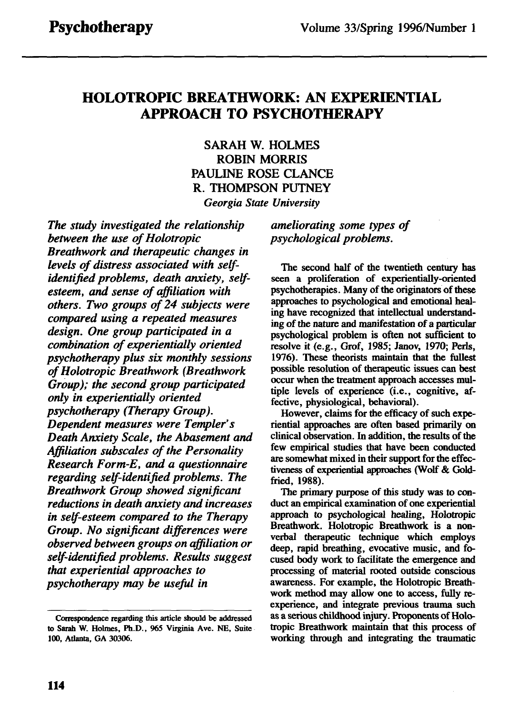# **HOLOTROPIC BREATHWORK: AN EXPERIENTIAL APPROACH TO PSYCHOTHERAPY**

SARAH W. HOLMES ROBIN MORRIS PAULINE ROSE CLANCE R. THOMPSON PUTNEY *Georgia State University*

*The study investigated the relationship between the use of Holotropic Breathwork and therapeutic changes in levels of distress associated with selfidentified problems, death anxiety, selfesteem, and sense of affiliation with others. Two groups of 24 subjects were compared using a repeated measures design. One group participated in a combination of experientially oriented psychotherapy plus six monthly sessions ofHolotropic Breathwork (Breathwork Group); the second group participated only in experientially oriented psychotherapy (Therapy Group). Dependent measures were Templer's Death Anxiety Scale, the Abasement and Affiliation subscales of the Personality Research Form-E, and a questionnaire regarding self-identified problems. The Breathwork Group showed significant reductions in death anxiety and increases in self-esteem compared to the Therapy Group. No significant differences were observed between groups on affiliation or self-identified problems. Results suggest that experiential approaches to psychotherapy may be useful in*

*ameliorating some types of psychological problems.*

**The second half of the twentieth century has seen a proliferation of experientially-oriented psychotherapies. Many of the originators of these approaches to psychological and emotional healing have recognized that intellectual understanding of the nature and manifestation of a particular psychological problem is often not sufficient to resolve it (e.g., Grof, 1985; Janov, 1970; Perls, 1976). These theorists maintain that the fullest possible resolution of therapeutic issues can best occur when the treatment approach accesses multiple levels of experience (i.e., cognitive, affective, physiological, behavioral).**

**However, claims for the efficacy of such experiential approaches are often based primarily on clinical observation. In addition, the results of the few empirical studies that have been conducted are somewhat mixed in their support for the effectiveness of experiential approaches (Wolf & Goldfried, 1988).**

**The primary purpose of this study was to conduct an empirical examination of one experiential approach to psychological healing, Holotropic Breathwork. Holotropic Breathwork is a nonverbal therapeutic technique which employs deep, rapid breathing, evocative music, and focused body work to facilitate the emergence and processing of material rooted outside conscious awareness. For example, the Holotropic Breathwork method may allow one to access, fully reexperience, and integrate previous trauma such** as a serious childhood injury. Proponents of Holo**tropic Breathwork maintain that this process of working through and integrating the traumatic**

**Correspondence regarding this article should be addressed to Sarah W. Holmes, Ph.D., 965 Virginia Ave. NE, Suite 100, Atlanta, GA 30306.**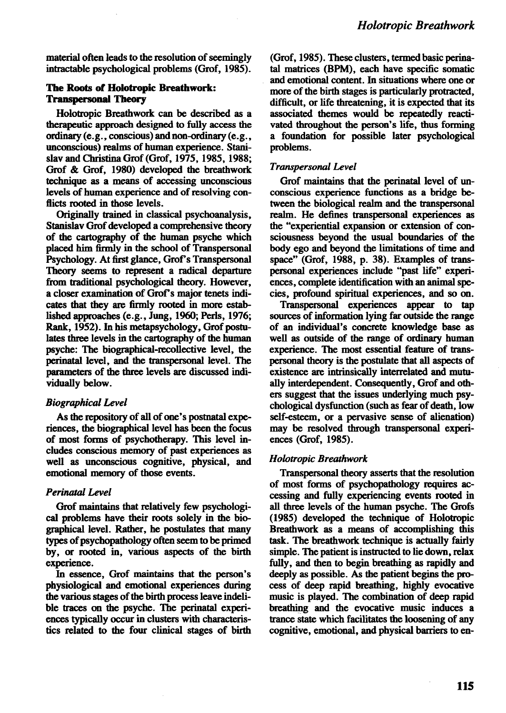material often leads to the resolution of seemingly intractable psychological problems (Grof, 198S).

## **The Roots of Holotropic Breathwork: Transpersonal Theory**

Holotropic Breathwork can be described as a therapeutic approach designed to fully access the ordinary (e.g., conscious) and non-ordinary (e.g., unconscious) realms of human experience. Stanislav and Christina Grof (Grof, 1975, 198S, 1988; Grof & Grof, 1980) developed the breathwork technique as a means of accessing unconscious levels of human experience and of resolving conflicts rooted in those levels.

Originally trained in classical psychoanalysis, Stanislav Grof developed a comprehensive theory of the cartography of the human psyche which placed him firmly in the school of Transpersonal Psychology. At first glance, Grof s Transpersonal Theory seems to represent a radical departure from traditional psychological theory. However, a closer examination of Grof s major tenets indicates that they are firmly rooted in more established approaches (e.g., Jung, 1960; Perls, 1976; Rank, 19S2). In his metapsychology, Grof postulates three levels in the cartography of the human psyche: The biographical-recollective level, the perinatal level, and the transpersonal level. The parameters of the three levels are discussed individually below.

## *Biographical Level*

As the repository of all of one's postnatal experiences, the biographical level has been the focus of most forms of psychotherapy. This level includes conscious memory of past experiences as well as unconscious cognitive, physical, and emotional memory of those events.

## *Perinatal Level*

Grof maintains that relatively few psychological problems have their roots solely in the biographical level. Rather, he postulates that many types of psychopathology often seem to be primed by, or rooted in, various aspects of the birth experience.

In essence, Grof maintains that the person's physiological and emotional experiences during the various stages of the birth process leave indelible traces on the psyche. The perinatal experiences typically occur in clusters with characteristics related to the four clinical stages of birth (Grof, 1985). These clusters, termed basic perinatal matrices **(BPM),** each have specific somatic and emotional content. In situations where one or more of the birth stages is particularly protracted, difficult, or life threatening, it is expected that its associated themes would be repeatedly reactivated throughout the person's life, thus forming a foundation for possible later psychological problems.

# *Transpersonal Level*

Grof maintains that the perinatal level of unconscious experience functions as a bridge between the biological realm and the transpersonal realm. He defines transpersonal experiences as the "experiential expansion or extension of consciousness beyond the usual boundaries of the body ego and beyond the limitations of time and space" (Grof, 1988, p. 38). Examples of transpersonal experiences include "past life" experiences, complete identification with an animal species, profound spiritual experiences, and so on.

Transpersonal experiences appear to tap sources of information lying far outside the range of an individual's concrete knowledge base as well as outside of the range of ordinary human experience. The most essential feature of transpersonal theory is the postulate that all aspects of existence are intrinsically interrelated and mutually interdependent. Consequently, Grof and others suggest that the issues underlying much psychological dysfunction (such as fear of death, low self-esteem, or a pervasive sense of alienation) may be resolved through transpersonal experiences (Grof, 1985).

#### *Holotropic Breathwork*

Transpersonal theory asserts that the resolution of most forms of psychopathology requires accessing and fully experiencing events rooted in all three levels of the human psyche. The Grofs (1985) developed the technique of Holotropic Breathwork as a means of accomplishing this task. The breathwork technique is actually fairly simple. The patient is instructed to lie down, relax fully, and then to begin breathing as rapidly and deeply as possible. As the patient begins the process of deep rapid breathing, highly evocative music is played. The combination of deep rapid breathing and the evocative music induces a trance state which facilitates the loosening of any cognitive, emotional, and physical barriers to en-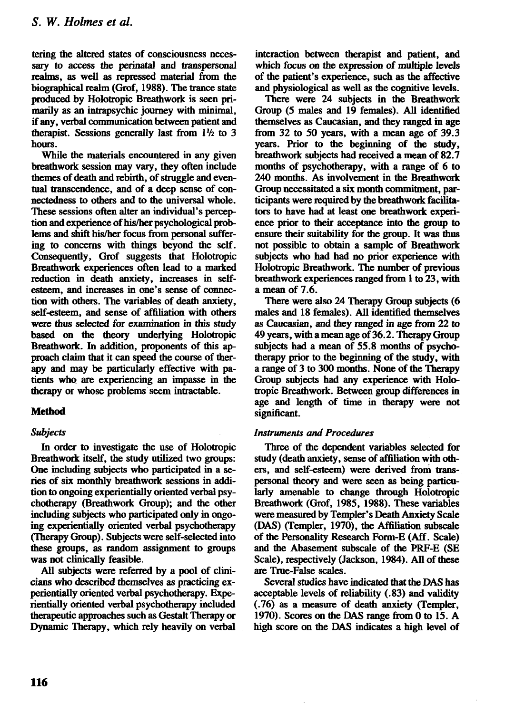tering the altered states of consciousness necessary to access the perinatal and transpersonal realms, as well as repressed material from the biographical realm (Grof, 1988). The trance state produced by Holotropic Breathwork is seen primarily as an intrapsychic journey with minimal, if any, verbal communication between patient and therapist. Sessions generally last from 1<sup>1</sup>/<sub>2</sub> to 3 hours.

While the materials encountered in any given breathwork session may vary, they often include themes of death and rebirth, of struggle and eventual transcendence, and of a deep sense of connectedness to others and to the universal whole. These sessions often alter an individual's perception and experience of his/her psychological problems and shift his/her focus from personal suffering to concerns with things beyond the self. Consequently, Grof suggests that Holotropic Breathwork experiences often lead to a marked reduction in death anxiety, increases in selfesteem, and increases in one's sense of connection with others. The variables of death anxiety, self-esteem, and sense of affiliation with others were thus selected for examination in this study based on the theory underlying Holotropic Breathwork. In addition, proponents of this approach claim that it can speed the course of therapy and may be particularly effective with patients who are experiencing an impasse in the therapy or whose problems seem intractable.

# **Method**

## *Subjects*

In order to investigate the use of Holotropic Breathwork itself, the study utilized two groups: One including subjects who participated in a series of six monthly breathwork sessions in addition to ongoing experientially oriented verbal psychotherapy (Breathwork Group); and the other including subjects who participated only in ongoing experientially oriented verbal psychotherapy (Therapy Group). Subjects were self-selected into these groups, as random assignment to groups was not clinically feasible.

All subjects were referred by a pool of clinicians who described themselves as practicing experientially oriented verbal psychotherapy. Experientially oriented verbal psychotherapy included therapeutic approaches such as Gestalt Therapy or Dynamic Therapy, which rely heavily on verbal

interaction between therapist and patient, and which focus on the expression of multiple levels of the patient's experience, such as the affective and physiological as well as the cognitive levels.

There were 24 subjects in the Breathwork Group (5 males and 19 females). All identified themselves as Caucasian, and they ranged in age from 32 to 50 years, with a mean age of 39.3 years. Prior to the beginning of the study, breathwork subjects had received a mean of 82.7 months of psychotherapy, with a range of 6 to 240 months. As involvement in the Breathwork Group necessitated a six month commitment, participants were required by the breathwork facilitators to have had at least one breathwork experience prior to their acceptance into the group to ensure their suitability for the group. It was thus not possible to obtain a sample of Breathwork subjects who had had no prior experience with Holotropic Breathwork. The number of previous breathwork experiences ranged from 1 to 23, with a mean of 7.6.

There were also 24 Therapy Group subjects (6 males and 18 females). All identified themselves as Caucasian, and they ranged in age from 22 to 49 years, with a mean age of 36.2. Therapy Group subjects had a mean of 55.8 months of psychotherapy prior to the beginning of the study, with a range of 3 to 300 months. None of the Therapy Group subjects had any experience with Holotropic Breathwork. Between group differences in age and length of time in therapy were not significant.

## *Instruments and Procedures*

Three of the dependent variables selected for study (death anxiety, sense of affiliation with others, and self-esteem) were derived from transpersonal theory and were seen as being particularly amenable to change through Holotropic Breathwork (Grof, 1985, 1988). These variables were measured by Templer's Death Anxiety Scale (DAS) (Templer, 1970), the Affiliation subscale of the Personality Research Form-E (Aff. Scale) and the Abasement subscale of the PRF-E (SE Scale), respectively (Jackson, 1984). All of these are True-False scales.

Several studies have indicated that the DAS has acceptable levels of reliability (.83) and validity (.76) as a measure of death anxiety (Tempter, 1970). Scores on the DAS range from 0 to 15. A high score on the DAS indicates a high level of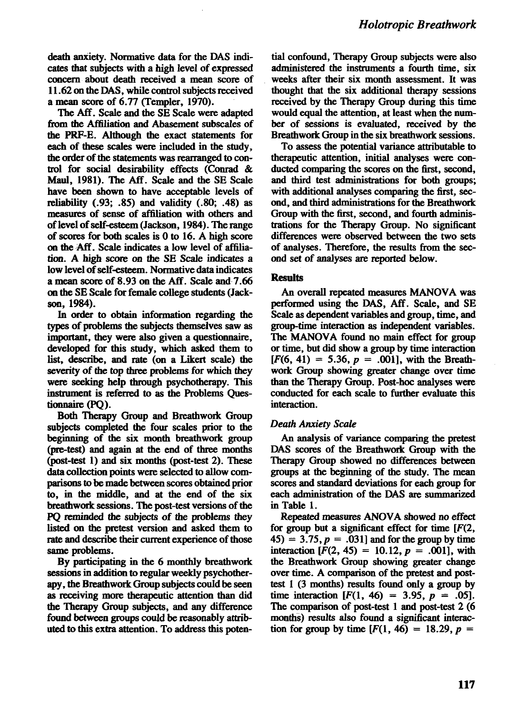**death anxiety. Normative data for the DAS indicates that subjects with a high level of expressed concern about death received a mean score of 11.62 on the DAS, while control subjects received a mean score of 6.77 (Templer, 1970).**

**The Aff. Scale and the SE Scale were adapted from the Affiliation and Abasement subscales of the PRF-E. Although the exact statements for each of these scales were included in the study, the order of the statements was rearranged to control for social desirability effects (Conrad & Maul, 1981). The Aff. Scale and the SE Scale have been shown to have acceptable levels of reliability (.93; .85) and validity (.80; .48) as measures of sense of affiliation with others and of level of self-esteem (Jackson, 1984). The range of scores for both scales is 0 to 16. A high score on the Aff. Scale indicates a low level of affiliation. A high score on the SE Scale indicates a low level of self-esteem. Normative data indicates a mean score of 8.93 on the Aff. Scale and 7.66 on the SE Scale for female college students (Jackson, 1984).**

**In order to obtain information regarding the types of problems the subjects themselves saw as important, they were also given a questionnaire, developed for this study, which asked them to list, describe, and rate (on a Likert scale) the severity of the top three problems for which they were seeking help through psychotherapy. This instrument is referred to as the Problems Questionnaire (PQ).**

**Both Therapy Group and Breathwork Group subjects completed the four scales prior to the beginning of the six month breathwork group (pre-test) and again at the end of three months (post-test 1) and six months (post-test 2). These data collection points were selected to allow comparisons to be made between scores obtained prior to, in the middle, and at the end of the six breathwork sessions. The post-test versions of the PQ reminded the subjects of the problems they listed on the pretest version and asked them to rate and describe their current experience of those same problems.**

**By participating in the 6 monthly breathwork sessions in addition to regular weekly psychotherapy, the Breathwork Group subjects could be seen as receiving more therapeutic attention than did the Therapy Group subjects, and any difference found between groups could be reasonably attributed to this extra attention. To address this poten-**

**tial confound, Therapy Group subjects were also administered the instruments a fourth time, six weeks after their six month assessment. It was thought that the six additional therapy sessions received by the Therapy Group during this time would equal the attention, at least when the number of sessions is evaluated, received by the Breathwork Group in the six breathwork sessions.**

**To assess the potential variance attributable to therapeutic attention, initial analyses were conducted comparing the scores on the first, second, and third test administrations for both groups; with additional analyses comparing the first, second, and third administrations for the Breathwork Group with the first, second, and fourth administrations for the Therapy Group. No significant differences were observed between the two sets of analyses. Therefore, the results from the second set of analyses are reported below.**

# **Results**

**An overall repeated measures MANOVA was performed using the DAS, Aff. Scale, and SE Scale as dependent variables and group, time, and group-time interaction as independent variables. The MANOVA found no main effect for group or time, but did show a group by time interaction**  $[F(6, 41) = 5.36, p = .001]$ , with the Breath**work Group showing greater change over time than the Therapy Group. Post-hoc analyses were conducted for each scale to further evaluate this interaction.**

# *Death Anxiety Scale*

**An analysis of variance comparing the pretest DAS scores of the Breathwork Group with the Therapy Group showed no differences between groups at the beginning of the study. The mean scores and standard deviations for each group for each administration of the DAS are summarized in Table 1.**

**Repeated measures ANOVA showed no effect for group but a significant effect for time** *[F(2,*  $45$ ) = 3.75,  $p = .031$ ] and for the group by time **interaction**  $[F(2, 45) = 10.12, p = .001]$ , with **the Breathwork Group showing greater change over time. A comparison of the pretest and posttest 1 (3 months) results found only a group by** time interaction  $[F(1, 46) = 3.95, p = .05]$ . **The comparison of post-test 1 and post-test 2 (6 months) results also found a significant interaction for group by time**  $[F(1, 46) = 18.29, p =$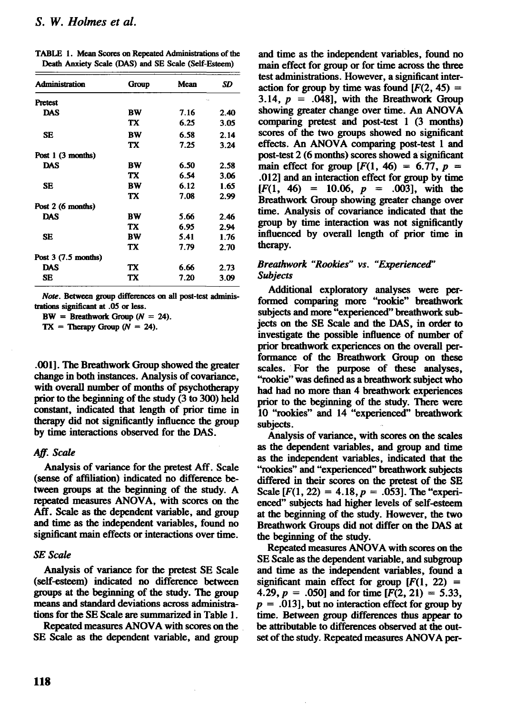| TABLE 1. Mean Scores on Repeated Administrations of the |  |
|---------------------------------------------------------|--|
| Death Anxiety Scale (DAS) and SE Scale (Self-Esteem)    |  |

| <b>Administration</b>        | Group | Mean | SD   |
|------------------------------|-------|------|------|
| Pretest                      |       |      |      |
| DAS                          | BW    | 7.16 | 2.40 |
|                              | TX    | 6.25 | 3.05 |
| SE                           | BW    | 6.58 | 2.14 |
|                              | TX    | 7.25 | 3.24 |
| Post 1 (3 months)            |       |      |      |
| DAS                          | BW    | 6.50 | 2.58 |
|                              | TX    | 6.54 | 3.06 |
| SЕ                           | BW    | 6.12 | 1.65 |
|                              | TX    | 7.08 | 2.99 |
| Post 2 (6 months)            |       |      |      |
| DAS                          | BW    | 5.66 | 2.46 |
|                              | ТX    | 6.95 | 2.94 |
| SE                           | BW    | 5.41 | 1.76 |
|                              | ТX    | 7.79 | 2.70 |
| Post $3(7.5 \text{ months})$ |       |      |      |
| DAS                          | TX    | 6.66 | 2.73 |
| <b>SE</b>                    | TX    | 7.20 | 3.09 |

*Note.* **Between group differences on all post-test administrations significant at .05 or less.**

**BW = Breathwork Group** *(N =* **24).**

 $TX = The$ rapy Group  $(N = 24)$ .

**.001]. The Breathwork Group showed the greater change in both instances. Analysis of covariance, with overall number of months of psychotherapy prior to the beginning of the study (3 to 300) held constant, indicated that length of prior time in therapy did not significantly influence the group by time interactions observed for the DAS.**

#### *Aff. Scale*

**Analysis of variance for the pretest Aff. Scale (sense of affiliation) indicated no difference between groups at the beginning of the study. A repeated measures ANOVA, with scores on the Aff. Scale as the dependent variable, and group and time as the independent variables, found no significant main effects or interactions over time.**

#### *SE Scale*

**Analysis of variance for the pretest SE Scale (self-esteem) indicated no difference between groups at the beginning of the study. The group means and standard deviations across administrations for the SE Scale are summarized in Table 1.**

**Repeated measures ANOVA with scores on the SE Scale as the dependent variable, and group**

**and time as the independent variables, found no main effect for group or for time across the three test administrations. However, a significant inter**action for group by time was found  $[F(2, 45) =$ **3.14,** *p =* **.048], with the Breathwork Group showing greater change over time. An ANOVA comparing pretest and post-test 1 (3 months) scores of the two groups showed no significant effects. An ANOVA comparing post-test 1 and post-test 2 (6 months) scores showed a significant main effect for group [** $F(1, 46) = 6.77$ **,**  $p =$ **.012] and an interaction effect for group by time**  $[F(1, 46) = 10.06, p = .003]$ , with the **Breathwork Group showing greater change over time. Analysis of covariance indicated that the group by time interaction was not significantly influenced by overall length of prior time in therapy.**

# *Breathwork "Rookies" vs. "Experienced<sup>1</sup> Subjects*

**Additional exploratory analyses were performed comparing more "rookie" breathwork subjects and more "experienced" breathwork subjects on the SE Scale and the DAS, in order to investigate the possible influence of number of prior breathwork experiences on the overall performance of the Breathwork Group on these scales. For the purpose of these analyses, "rookie" was defined as a breathwork subject who had had no more than 4 breathwork experiences prior to the beginning of the study. There were 10 "rookies" and 14 "experienced" breathwork subjects.**

**Analysis of variance, with scores on the scales as the dependent variables, and group and time as the independent variables, indicated that the "rookies" and "experienced" breathwork subjects differed in their scores on the pretest of the SE** Scale  $[F(1, 22) = 4.18, p = .053]$ . The "experi**enced" subjects had higher levels of self-esteem at the beginning of the study. However, the two Breathwork Groups did not differ on the DAS at the beginning of the study.**

**Repeated measures ANOVA with scores on the SE Scale as the dependent variable, and subgroup and time as the independent variables, found a** significant main effect for group  $[F(1, 22) =$ 4.29,  $p = .050$  and for time  $[F(2, 21) = 5.33]$ ,  $p = .013$ , but no interaction effect for group by **time. Between group differences thus appear to be attributable to differences observed at the outset of the study. Repeated measures ANOVA per-**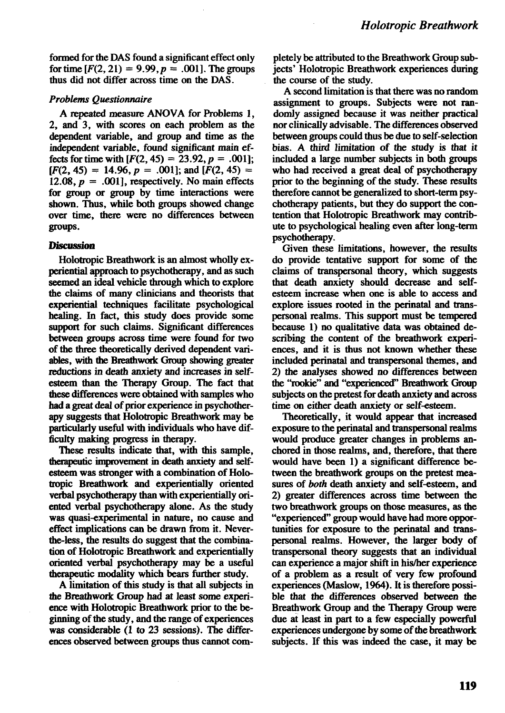formed for the DAS found a significant effect only for time  $[F(2, 21) = 9.99, p = .001]$ . The groups thus did not differ across time on the DAS.

## *Problems Questionnaire*

A repeated measure ANOVA for Problems 1, 2, and 3, with scores on each problem as the dependent variable, and group and time as the independent variable, found significant main effects for time with  $[F(2, 45) = 23.92, p = .001]$ ;  $[F(2, 45) = 14.96, p = .001]$ ; and  $[F(2, 45) =$ 12.08,  $p = .001$ , respectively. No main effects for group or group by time interactions were shown. Thus, while both groups showed change over time, there were no differences between groups.

#### **Discussion**

Holotropic Breathwork is an almost wholly experiential approach to psychotherapy, and as such seemed an ideal vehicle through which to explore the claims of many clinicians and theorists that experiential techniques facilitate psychological healing. In fact, this study does provide some support for such claims. Significant differences between groups across time were found for two of the three theoretically derived dependent variables, with the Breathwork Group showing greater reductions in death anxiety and increases in selfesteem than the Therapy Group. The fact that these differences were obtained with samples who had a great deal of prior experience in psychotherapy suggests that Holotropic Breathwork may be particularly useful with individuals who have difficulty making progress in therapy.

These results indicate that, with this sample, therapeutic improvement in death anxiety and selfesteem was stronger with a combination of Holotropic Breathwork and experientially oriented verbal psychotherapy than with experientially oriented verbal psychotherapy alone. As the study was quasi-experimental in nature, no cause and effect implications can be drawn from it. Neverthe-less, the results do suggest that the combination of Holotropic Breathwork and experientially oriented verbal psychotherapy may be a useful therapeutic modality which bears further study.

A limitation of this study is that all subjects in the Breathwork Group had at least some experience with Holotropic Breathwork prior to the beginning of the study, and the range of experiences was considerable (1 to 23 sessions). The differences observed between groups thus cannot completely be attributed to the Breathwork Group subjects' Holotropic Breathwork experiences during the course of the study.

A second limitation is that there was no random assignment to groups. Subjects were not randomly assigned because it was neither practical nor clinically advisable. The differences observed between groups could thus be due to self-selection bias. A third limitation of the study is that it included a large number subjects in both groups who had received a great deal of psychotherapy prior to the beginning of the study. These results therefore cannot be generalized to short-term psychotherapy patients, but they do support the contention that Holotropic Breathwork may contribute to psychological healing even after long-term psychotherapy.

Given these limitations, however, the results do provide tentative support for some of the claims of transpersonal theory, which suggests that death anxiety should decrease and selfesteem increase when one is able to access and explore issues rooted in the perinatal and transpersonal realms. This support must be tempered because 1) no qualitative data was obtained describing the content of the breathwork experiences, and it is thus not known whether these included perinatal and transpersonal themes, and 2) the analyses showed no differences between the "rookie" and "experienced" Breathwork Group subjects on the pretest for death anxiety and across time on either death anxiety or self-esteem.

Theoretically, it would appear that increased exposure to the perinatal and transpersonal realms would produce greater changes in problems anchored in those realms, and, therefore, that there would have been 1) a significant difference between the breathwork groups on the pretest measures of *both* death anxiety and self-esteem, and 2) greater differences across time between the two breathwork groups on those measures, as the "experienced" group would have had more opportunities for exposure to the perinatal and transpersonal realms. However, the larger body of transpersonal theory suggests that an individual can experience a major shift in his/her experience of a problem as a result of very few profound experiences (Maslow, 1964). It is therefore possible that the differences observed between the Breathwork Group and the Therapy Group were due at least in part to a few especially powerful experiences undergone by some of the breathwork subjects. If this was indeed the case, it may be